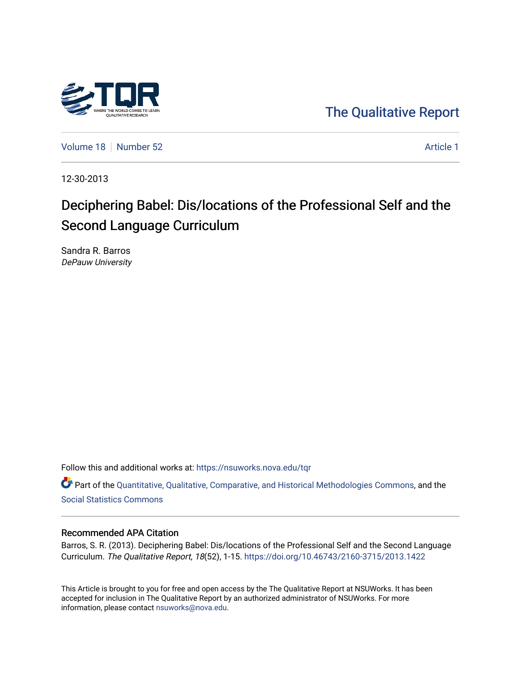

[The Qualitative Report](https://nsuworks.nova.edu/tqr) 

[Volume 18](https://nsuworks.nova.edu/tqr/vol18) [Number 52](https://nsuworks.nova.edu/tqr/vol18/iss52) [Article 1](https://nsuworks.nova.edu/tqr/vol18/iss52/1) Article 1

12-30-2013

## Deciphering Babel: Dis/locations of the Professional Self and the Second Language Curriculum

Sandra R. Barros DePauw University

Follow this and additional works at: [https://nsuworks.nova.edu/tqr](https://nsuworks.nova.edu/tqr?utm_source=nsuworks.nova.edu%2Ftqr%2Fvol18%2Fiss52%2F1&utm_medium=PDF&utm_campaign=PDFCoverPages) 

Part of the [Quantitative, Qualitative, Comparative, and Historical Methodologies Commons,](http://network.bepress.com/hgg/discipline/423?utm_source=nsuworks.nova.edu%2Ftqr%2Fvol18%2Fiss52%2F1&utm_medium=PDF&utm_campaign=PDFCoverPages) and the [Social Statistics Commons](http://network.bepress.com/hgg/discipline/1275?utm_source=nsuworks.nova.edu%2Ftqr%2Fvol18%2Fiss52%2F1&utm_medium=PDF&utm_campaign=PDFCoverPages) 

#### Recommended APA Citation

Barros, S. R. (2013). Deciphering Babel: Dis/locations of the Professional Self and the Second Language Curriculum. The Qualitative Report, 18(52), 1-15.<https://doi.org/10.46743/2160-3715/2013.1422>

This Article is brought to you for free and open access by the The Qualitative Report at NSUWorks. It has been accepted for inclusion in The Qualitative Report by an authorized administrator of NSUWorks. For more information, please contact [nsuworks@nova.edu.](mailto:nsuworks@nova.edu)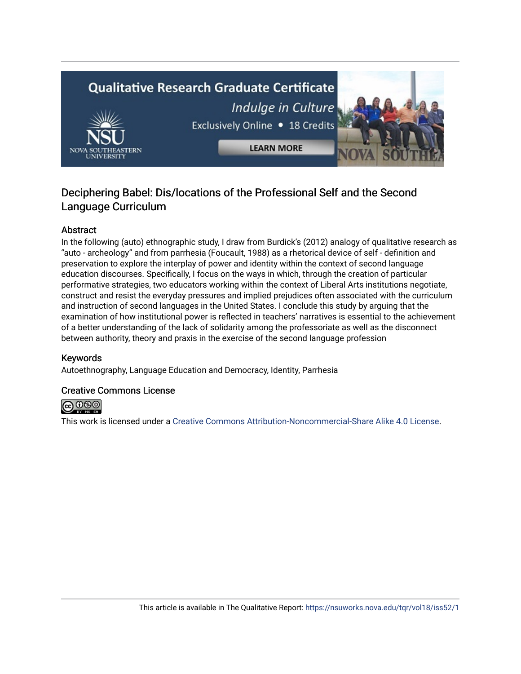# **Qualitative Research Graduate Certificate** Indulge in Culture Exclusively Online . 18 Credits **LEARN MORE**

### Deciphering Babel: Dis/locations of the Professional Self and the Second Language Curriculum

#### Abstract

In the following (auto) ethnographic study, I draw from Burdick's (2012) analogy of qualitative research as "auto - archeology" and from parrhesia (Foucault, 1988) as a rhetorical device of self - definition and preservation to explore the interplay of power and identity within the context of second language education discourses. Specifically, I focus on the ways in which, through the creation of particular performative strategies, two educators working within the context of Liberal Arts institutions negotiate, construct and resist the everyday pressures and implied prejudices often associated with the curriculum and instruction of second languages in the United States. I conclude this study by arguing that the examination of how institutional power is reflected in teachers' narratives is essential to the achievement of a better understanding of the lack of solidarity among the professoriate as well as the disconnect between authority, theory and praxis in the exercise of the second language profession

#### Keywords

Autoethnography, Language Education and Democracy, Identity, Parrhesia

#### Creative Commons License



This work is licensed under a [Creative Commons Attribution-Noncommercial-Share Alike 4.0 License](https://creativecommons.org/licenses/by-nc-sa/4.0/).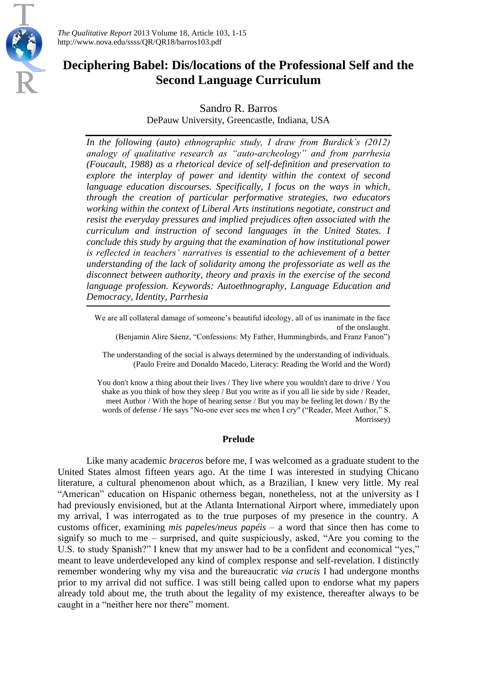

*The Qualitative Report* 2013 Volume 18, Article 103, 1-15 http://www.nova.edu/ssss/QR/QR18/barros103.pdf

## **Deciphering Babel: Dis/locations of the Professional Self and the Second Language Curriculum**

Sandro R. Barros

DePauw University, Greencastle, Indiana, USA

*In the following (auto) ethnographic study, I draw from Burdick's (2012) analogy of qualitative research as "auto-archeology" and from parrhesia (Foucault, 1988) as a rhetorical device of self-definition and preservation to explore the interplay of power and identity within the context of second language education discourses. Specifically, I focus on the ways in which, through the creation of particular performative strategies, two educators working within the context of Liberal Arts institutions negotiate, construct and resist the everyday pressures and implied prejudices often associated with the curriculum and instruction of second languages in the United States. I conclude this study by arguing that the examination of how institutional power is reflected in teachers' narratives is essential to the achievement of a better understanding of the lack of solidarity among the professoriate as well as the disconnect between authority, theory and praxis in the exercise of the second language profession. Keywords: Autoethnography, Language Education and Democracy, Identity, Parrhesia*

We are all collateral damage of someone's beautiful ideology, all of us inanimate in the face of the onslaught.

(Benjamin Alire Sáenz, "Confessions: My Father, Hummingbirds, and Franz Fanon")

The understanding of the social is always determined by the understanding of individuals. (Paulo Freire and Donaldo Macedo, Literacy: Reading the World and the Word)

You don't know a thing about their lives / They live where you wouldn't dare to drive / You shake as you think of how they sleep / But you write as if you all lie side by side / Reader, meet Author / With the hope of hearing sense / But you may be feeling let down / By the words of defense / He says "No-one ever sees me when I cry" ("Reader, Meet Author," S. Morrissey)

#### **Prelude**

Like many academic *braceros* before me, I was welcomed as a graduate student to the United States almost fifteen years ago. At the time I was interested in studying Chicano literature, a cultural phenomenon about which, as a Brazilian, I knew very little. My real "American" education on Hispanic otherness began, nonetheless, not at the university as I had previously envisioned, but at the Atlanta International Airport where, immediately upon my arrival, I was interrogated as to the true purposes of my presence in the country. A customs officer, examining *mis papeles/meus papéis* – a word that since then has come to signify so much to me – surprised, and quite suspiciously, asked, "Are you coming to the U.S. to study Spanish?" I knew that my answer had to be a confident and economical "yes," meant to leave underdeveloped any kind of complex response and self-revelation. I distinctly remember wondering why my visa and the bureaucratic *via crucis* I had undergone months prior to my arrival did not suffice. I was still being called upon to endorse what my papers already told about me, the truth about the legality of my existence, thereafter always to be caught in a "neither here nor there" moment.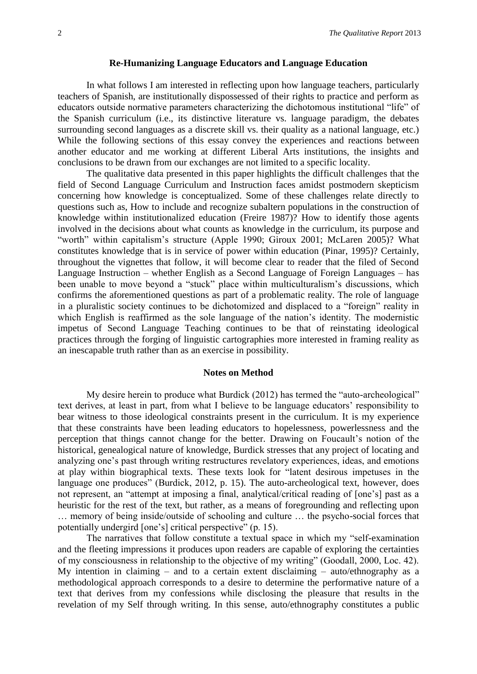#### **Re-Humanizing Language Educators and Language Education**

In what follows I am interested in reflecting upon how language teachers, particularly teachers of Spanish, are institutionally dispossessed of their rights to practice and perform as educators outside normative parameters characterizing the dichotomous institutional "life" of the Spanish curriculum (i.e., its distinctive literature vs. language paradigm, the debates surrounding second languages as a discrete skill vs. their quality as a national language, etc.) While the following sections of this essay convey the experiences and reactions between another educator and me working at different Liberal Arts institutions, the insights and conclusions to be drawn from our exchanges are not limited to a specific locality.

The qualitative data presented in this paper highlights the difficult challenges that the field of Second Language Curriculum and Instruction faces amidst postmodern skepticism concerning how knowledge is conceptualized. Some of these challenges relate directly to questions such as, How to include and recognize subaltern populations in the construction of knowledge within institutionalized education (Freire 1987)? How to identify those agents involved in the decisions about what counts as knowledge in the curriculum, its purpose and "worth" within capitalism's structure (Apple 1990; Giroux 2001; McLaren 2005)? What constitutes knowledge that is in service of power within education (Pinar, 1995)? Certainly, throughout the vignettes that follow, it will become clear to reader that the filed of Second Language Instruction – whether English as a Second Language of Foreign Languages – has been unable to move beyond a "stuck" place within multiculturalism's discussions, which confirms the aforementioned questions as part of a problematic reality. The role of language in a pluralistic society continues to be dichotomized and displaced to a "foreign" reality in which English is reaffirmed as the sole language of the nation's identity. The modernistic impetus of Second Language Teaching continues to be that of reinstating ideological practices through the forging of linguistic cartographies more interested in framing reality as an inescapable truth rather than as an exercise in possibility.

#### **Notes on Method**

My desire herein to produce what Burdick (2012) has termed the "auto-archeological" text derives, at least in part, from what I believe to be language educators' responsibility to bear witness to those ideological constraints present in the curriculum. It is my experience that these constraints have been leading educators to hopelessness, powerlessness and the perception that things cannot change for the better. Drawing on Foucault's notion of the historical, genealogical nature of knowledge, Burdick stresses that any project of locating and analyzing one's past through writing restructures revelatory experiences, ideas, and emotions at play within biographical texts. These texts look for "latent desirous impetuses in the language one produces" (Burdick, 2012, p. 15). The auto-archeological text, however, does not represent, an "attempt at imposing a final, analytical/critical reading of [one's] past as a heuristic for the rest of the text, but rather, as a means of foregrounding and reflecting upon … memory of being inside/outside of schooling and culture … the psycho-social forces that potentially undergird [one's] critical perspective" (p. 15).

The narratives that follow constitute a textual space in which my "self-examination and the fleeting impressions it produces upon readers are capable of exploring the certainties of my consciousness in relationship to the objective of my writing" (Goodall, 2000, Loc. 42). My intention in claiming – and to a certain extent disclaiming – auto/ethnography as a methodological approach corresponds to a desire to determine the performative nature of a text that derives from my confessions while disclosing the pleasure that results in the revelation of my Self through writing. In this sense, auto/ethnography constitutes a public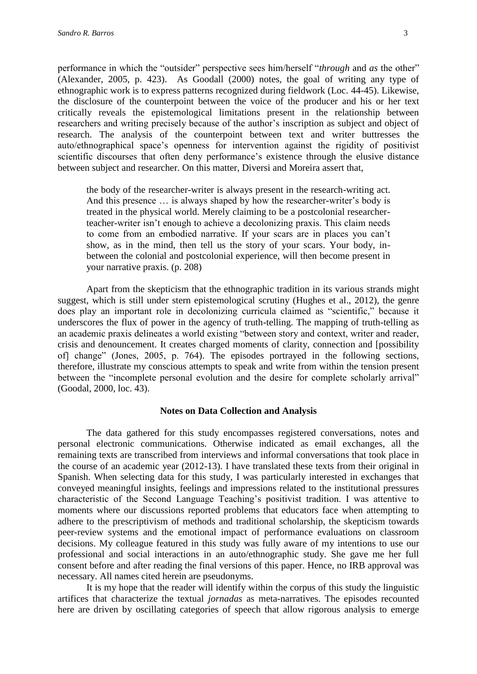performance in which the "outsider" perspective sees him/herself "*through* and *as* the other" (Alexander, 2005, p. 423). As Goodall (2000) notes, the goal of writing any type of ethnographic work is to express patterns recognized during fieldwork (Loc. 44-45). Likewise, the disclosure of the counterpoint between the voice of the producer and his or her text critically reveals the epistemological limitations present in the relationship between researchers and writing precisely because of the author's inscription as subject and object of research. The analysis of the counterpoint between text and writer buttresses the auto/ethnographical space's openness for intervention against the rigidity of positivist scientific discourses that often deny performance's existence through the elusive distance between subject and researcher. On this matter, Diversi and Moreira assert that,

the body of the researcher-writer is always present in the research-writing act. And this presence … is always shaped by how the researcher-writer's body is treated in the physical world. Merely claiming to be a postcolonial researcherteacher-writer isn't enough to achieve a decolonizing praxis. This claim needs to come from an embodied narrative. If your scars are in places you can't show, as in the mind, then tell us the story of your scars. Your body, inbetween the colonial and postcolonial experience, will then become present in your narrative praxis. (p. 208)

Apart from the skepticism that the ethnographic tradition in its various strands might suggest, which is still under stern epistemological scrutiny (Hughes et al., 2012), the genre does play an important role in decolonizing curricula claimed as "scientific," because it underscores the flux of power in the agency of truth-telling. The mapping of truth-telling as an academic praxis delineates a world existing "between story and context, writer and reader, crisis and denouncement. It creates charged moments of clarity, connection and [possibility of] change" (Jones, 2005, p. 764). The episodes portrayed in the following sections, therefore, illustrate my conscious attempts to speak and write from within the tension present between the "incomplete personal evolution and the desire for complete scholarly arrival" (Goodal, 2000, loc. 43).

#### **Notes on Data Collection and Analysis**

The data gathered for this study encompasses registered conversations, notes and personal electronic communications. Otherwise indicated as email exchanges, all the remaining texts are transcribed from interviews and informal conversations that took place in the course of an academic year (2012-13). I have translated these texts from their original in Spanish. When selecting data for this study, I was particularly interested in exchanges that conveyed meaningful insights, feelings and impressions related to the institutional pressures characteristic of the Second Language Teaching's positivist tradition. I was attentive to moments where our discussions reported problems that educators face when attempting to adhere to the prescriptivism of methods and traditional scholarship, the skepticism towards peer-review systems and the emotional impact of performance evaluations on classroom decisions. My colleague featured in this study was fully aware of my intentions to use our professional and social interactions in an auto/ethnographic study. She gave me her full consent before and after reading the final versions of this paper. Hence, no IRB approval was necessary. All names cited herein are pseudonyms.

It is my hope that the reader will identify within the corpus of this study the linguistic artifices that characterize the textual *jornadas* as meta-narratives. The episodes recounted here are driven by oscillating categories of speech that allow rigorous analysis to emerge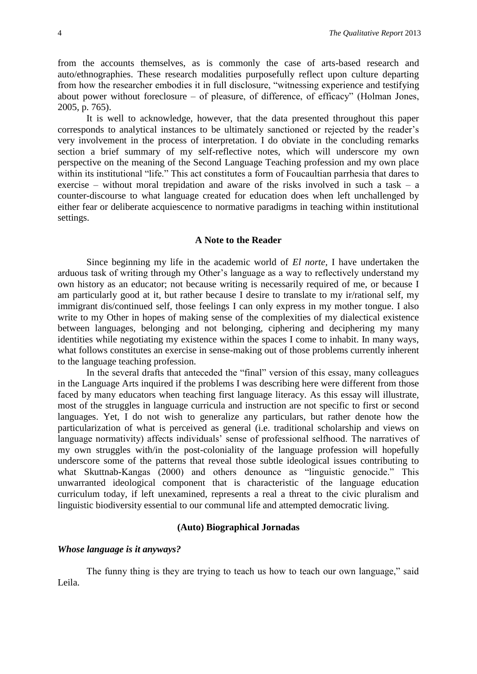from the accounts themselves, as is commonly the case of arts-based research and auto/ethnographies. These research modalities purposefully reflect upon culture departing from how the researcher embodies it in full disclosure, "witnessing experience and testifying about power without foreclosure – of pleasure, of difference, of efficacy" (Holman Jones, 2005, p. 765).

It is well to acknowledge, however, that the data presented throughout this paper corresponds to analytical instances to be ultimately sanctioned or rejected by the reader's very involvement in the process of interpretation. I do obviate in the concluding remarks section a brief summary of my self-reflective notes, which will underscore my own perspective on the meaning of the Second Language Teaching profession and my own place within its institutional "life." This act constitutes a form of Foucaultian parrhesia that dares to exercise – without moral trepidation and aware of the risks involved in such a task – a counter-discourse to what language created for education does when left unchallenged by either fear or deliberate acquiescence to normative paradigms in teaching within institutional settings.

#### **A Note to the Reader**

Since beginning my life in the academic world of *El norte*, I have undertaken the arduous task of writing through my Other's language as a way to reflectively understand my own history as an educator; not because writing is necessarily required of me, or because I am particularly good at it, but rather because I desire to translate to my ir/rational self, my immigrant dis/continued self, those feelings I can only express in my mother tongue. I also write to my Other in hopes of making sense of the complexities of my dialectical existence between languages, belonging and not belonging, ciphering and deciphering my many identities while negotiating my existence within the spaces I come to inhabit. In many ways, what follows constitutes an exercise in sense-making out of those problems currently inherent to the language teaching profession.

In the several drafts that anteceded the "final" version of this essay, many colleagues in the Language Arts inquired if the problems I was describing here were different from those faced by many educators when teaching first language literacy. As this essay will illustrate, most of the struggles in language curricula and instruction are not specific to first or second languages. Yet, I do not wish to generalize any particulars, but rather denote how the particularization of what is perceived as general (i.e. traditional scholarship and views on language normativity) affects individuals' sense of professional selfhood. The narratives of my own struggles with/in the post-coloniality of the language profession will hopefully underscore some of the patterns that reveal those subtle ideological issues contributing to what Skuttnab-Kangas (2000) and others denounce as "linguistic genocide." This unwarranted ideological component that is characteristic of the language education curriculum today, if left unexamined, represents a real a threat to the civic pluralism and linguistic biodiversity essential to our communal life and attempted democratic living.

#### **(Auto) Biographical Jornadas**

#### *Whose language is it anyways?*

The funny thing is they are trying to teach us how to teach our own language," said Leila.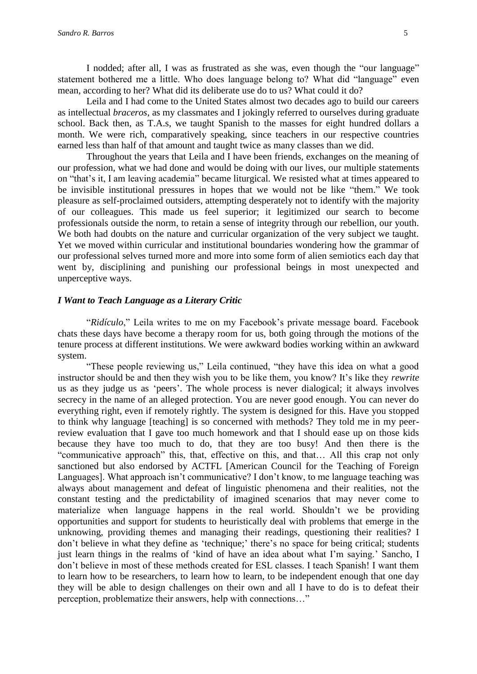I nodded; after all, I was as frustrated as she was, even though the "our language" statement bothered me a little. Who does language belong to? What did "language" even mean, according to her? What did its deliberate use do to us? What could it do?

Leila and I had come to the United States almost two decades ago to build our careers as intellectual *braceros*, as my classmates and I jokingly referred to ourselves during graduate school. Back then, as T.A.s, we taught Spanish to the masses for eight hundred dollars a month. We were rich, comparatively speaking, since teachers in our respective countries earned less than half of that amount and taught twice as many classes than we did.

Throughout the years that Leila and I have been friends, exchanges on the meaning of our profession, what we had done and would be doing with our lives, our multiple statements on "that's it, I am leaving academia" became liturgical. We resisted what at times appeared to be invisible institutional pressures in hopes that we would not be like "them." We took pleasure as self-proclaimed outsiders, attempting desperately not to identify with the majority of our colleagues. This made us feel superior; it legitimized our search to become professionals outside the norm, to retain a sense of integrity through our rebellion, our youth. We both had doubts on the nature and curricular organization of the very subject we taught. Yet we moved within curricular and institutional boundaries wondering how the grammar of our professional selves turned more and more into some form of alien semiotics each day that went by, disciplining and punishing our professional beings in most unexpected and unperceptive ways.

#### *I Want to Teach Language as a Literary Critic*

"*Ridículo*," Leila writes to me on my Facebook's private message board. Facebook chats these days have become a therapy room for us, both going through the motions of the tenure process at different institutions. We were awkward bodies working within an awkward system.

"These people reviewing us," Leila continued, "they have this idea on what a good instructor should be and then they wish you to be like them, you know? It's like they *rewrite* us as they judge us as 'peers'. The whole process is never dialogical; it always involves secrecy in the name of an alleged protection. You are never good enough. You can never do everything right, even if remotely rightly. The system is designed for this. Have you stopped to think why language [teaching] is so concerned with methods? They told me in my peerreview evaluation that I gave too much homework and that I should ease up on those kids because they have too much to do, that they are too busy! And then there is the "communicative approach" this, that, effective on this, and that… All this crap not only sanctioned but also endorsed by ACTFL [American Council for the Teaching of Foreign Languages]. What approach isn't communicative? I don't know, to me language teaching was always about management and defeat of linguistic phenomena and their realities, not the constant testing and the predictability of imagined scenarios that may never come to materialize when language happens in the real world. Shouldn't we be providing opportunities and support for students to heuristically deal with problems that emerge in the unknowing, providing themes and managing their readings, questioning their realities? I don't believe in what they define as 'technique;' there's no space for being critical; students just learn things in the realms of 'kind of have an idea about what I'm saying.' Sancho, I don't believe in most of these methods created for ESL classes. I teach Spanish! I want them to learn how to be researchers, to learn how to learn, to be independent enough that one day they will be able to design challenges on their own and all I have to do is to defeat their perception, problematize their answers, help with connections…"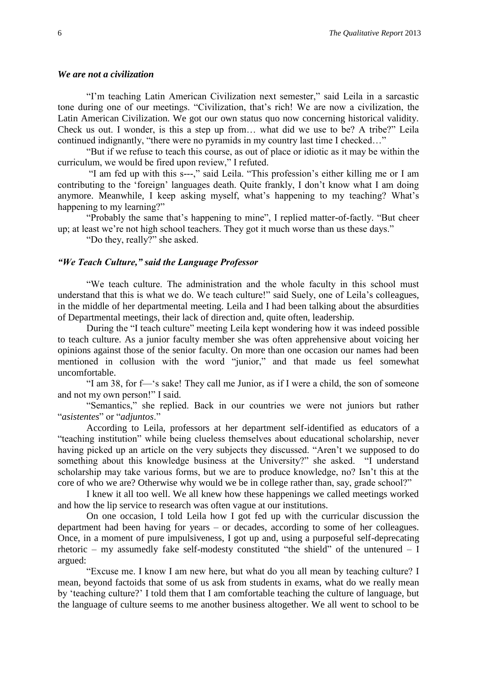#### *We are not a civilization*

"I'm teaching Latin American Civilization next semester," said Leila in a sarcastic tone during one of our meetings. "Civilization, that's rich! We are now a civilization, the Latin American Civilization. We got our own status quo now concerning historical validity. Check us out. I wonder, is this a step up from… what did we use to be? A tribe?" Leila continued indignantly, "there were no pyramids in my country last time I checked…"

"But if we refuse to teach this course, as out of place or idiotic as it may be within the curriculum, we would be fired upon review," I refuted.

"I am fed up with this s---," said Leila. "This profession's either killing me or I am contributing to the 'foreign' languages death. Quite frankly, I don't know what I am doing anymore. Meanwhile, I keep asking myself, what's happening to my teaching? What's happening to my learning?"

"Probably the same that's happening to mine", I replied matter-of-factly. "But cheer up; at least we're not high school teachers. They got it much worse than us these days."

"Do they, really?" she asked.

#### *"We Teach Culture," said the Language Professor*

"We teach culture. The administration and the whole faculty in this school must understand that this is what we do. We teach culture!" said Suely, one of Leila's colleagues, in the middle of her departmental meeting. Leila and I had been talking about the absurdities of Departmental meetings, their lack of direction and, quite often, leadership.

During the "I teach culture" meeting Leila kept wondering how it was indeed possible to teach culture. As a junior faculty member she was often apprehensive about voicing her opinions against those of the senior faculty. On more than one occasion our names had been mentioned in collusion with the word "junior," and that made us feel somewhat uncomfortable.

"I am 38, for f—'s sake! They call me Junior, as if I were a child, the son of someone and not my own person!" I said.

"Semantics," she replied. Back in our countries we were not juniors but rather "*asistentes*" or "*adjuntos*."

According to Leila, professors at her department self-identified as educators of a "teaching institution" while being clueless themselves about educational scholarship, never having picked up an article on the very subjects they discussed. "Aren't we supposed to do something about this knowledge business at the University?" she asked. "I understand scholarship may take various forms, but we are to produce knowledge, no? Isn't this at the core of who we are? Otherwise why would we be in college rather than, say, grade school?"

I knew it all too well. We all knew how these happenings we called meetings worked and how the lip service to research was often vague at our institutions.

On one occasion, I told Leila how I got fed up with the curricular discussion the department had been having for years – or decades, according to some of her colleagues. Once, in a moment of pure impulsiveness, I got up and, using a purposeful self-deprecating rhetoric – my assumedly fake self-modesty constituted "the shield" of the untenured – I argued:

"Excuse me. I know I am new here, but what do you all mean by teaching culture? I mean, beyond factoids that some of us ask from students in exams, what do we really mean by 'teaching culture?' I told them that I am comfortable teaching the culture of language, but the language of culture seems to me another business altogether. We all went to school to be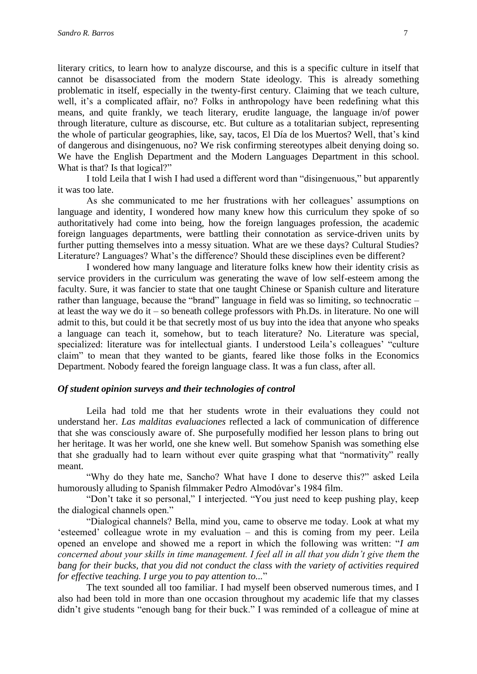literary critics, to learn how to analyze discourse, and this is a specific culture in itself that cannot be disassociated from the modern State ideology. This is already something problematic in itself, especially in the twenty-first century. Claiming that we teach culture, well, it's a complicated affair, no? Folks in anthropology have been redefining what this means, and quite frankly, we teach literary, erudite language, the language in/of power through literature, culture as discourse, etc. But culture as a totalitarian subject, representing the whole of particular geographies, like, say, tacos, El Día de los Muertos? Well, that's kind of dangerous and disingenuous, no? We risk confirming stereotypes albeit denying doing so. We have the English Department and the Modern Languages Department in this school. What is that? Is that logical?"

I told Leila that I wish I had used a different word than "disingenuous," but apparently it was too late.

As she communicated to me her frustrations with her colleagues' assumptions on language and identity, I wondered how many knew how this curriculum they spoke of so authoritatively had come into being, how the foreign languages profession, the academic foreign languages departments, were battling their connotation as service-driven units by further putting themselves into a messy situation. What are we these days? Cultural Studies? Literature? Languages? What's the difference? Should these disciplines even be different?

I wondered how many language and literature folks knew how their identity crisis as service providers in the curriculum was generating the wave of low self-esteem among the faculty. Sure, it was fancier to state that one taught Chinese or Spanish culture and literature rather than language, because the "brand" language in field was so limiting, so technocratic – at least the way we do it – so beneath college professors with Ph.Ds. in literature. No one will admit to this, but could it be that secretly most of us buy into the idea that anyone who speaks a language can teach it, somehow, but to teach literature? No. Literature was special, specialized: literature was for intellectual giants. I understood Leila's colleagues' "culture claim" to mean that they wanted to be giants, feared like those folks in the Economics Department. Nobody feared the foreign language class. It was a fun class, after all.

#### *Of student opinion surveys and their technologies of control*

Leila had told me that her students wrote in their evaluations they could not understand her. *Las malditas evaluaciones* reflected a lack of communication of difference that she was consciously aware of. She purposefully modified her lesson plans to bring out her heritage. It was her world, one she knew well. But somehow Spanish was something else that she gradually had to learn without ever quite grasping what that "normativity" really meant.

"Why do they hate me, Sancho? What have I done to deserve this?" asked Leila humorously alluding to Spanish filmmaker Pedro Almodóvar's 1984 film.

"Don't take it so personal," I interjected. "You just need to keep pushing play, keep the dialogical channels open."

"Dialogical channels? Bella, mind you, came to observe me today. Look at what my 'esteemed' colleague wrote in my evaluation – and this is coming from my peer. Leila opened an envelope and showed me a report in which the following was written: "*I am concerned about your skills in time management. I feel all in all that you didn't give them the bang for their bucks, that you did not conduct the class with the variety of activities required for effective teaching. I urge you to pay attention to...*"

The text sounded all too familiar. I had myself been observed numerous times, and I also had been told in more than one occasion throughout my academic life that my classes didn't give students "enough bang for their buck." I was reminded of a colleague of mine at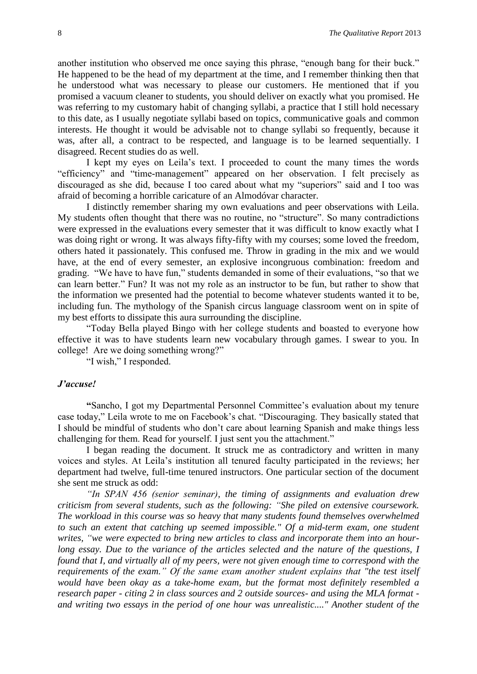another institution who observed me once saying this phrase, "enough bang for their buck." He happened to be the head of my department at the time, and I remember thinking then that he understood what was necessary to please our customers. He mentioned that if you promised a vacuum cleaner to students, you should deliver on exactly what you promised. He was referring to my customary habit of changing syllabi, a practice that I still hold necessary to this date, as I usually negotiate syllabi based on topics, communicative goals and common interests. He thought it would be advisable not to change syllabi so frequently, because it was, after all, a contract to be respected, and language is to be learned sequentially. I disagreed. Recent studies do as well.

I kept my eyes on Leila's text. I proceeded to count the many times the words "efficiency" and "time-management" appeared on her observation. I felt precisely as discouraged as she did, because I too cared about what my "superiors" said and I too was afraid of becoming a horrible caricature of an Almodóvar character.

I distinctly remember sharing my own evaluations and peer observations with Leila. My students often thought that there was no routine, no "structure". So many contradictions were expressed in the evaluations every semester that it was difficult to know exactly what I was doing right or wrong. It was always fifty-fifty with my courses; some loved the freedom, others hated it passionately. This confused me. Throw in grading in the mix and we would have, at the end of every semester, an explosive incongruous combination: freedom and grading. "We have to have fun," students demanded in some of their evaluations, "so that we can learn better." Fun? It was not my role as an instructor to be fun, but rather to show that the information we presented had the potential to become whatever students wanted it to be, including fun. The mythology of the Spanish circus language classroom went on in spite of my best efforts to dissipate this aura surrounding the discipline.

"Today Bella played Bingo with her college students and boasted to everyone how effective it was to have students learn new vocabulary through games. I swear to you. In college! Are we doing something wrong?"

"I wish," I responded.

#### *J'accuse!*

**"**Sancho, I got my Departmental Personnel Committee's evaluation about my tenure case today," Leila wrote to me on Facebook's chat. "Discouraging. They basically stated that I should be mindful of students who don't care about learning Spanish and make things less challenging for them. Read for yourself. I just sent you the attachment."

I began reading the document. It struck me as contradictory and written in many voices and styles. At Leila's institution all tenured faculty participated in the reviews; her department had twelve, full-time tenured instructors. One particular section of the document she sent me struck as odd:

*"In SPAN 456 (senior seminar), the timing of assignments and evaluation drew criticism from several students, such as the following: "She piled on extensive coursework. The workload in this course was so heavy that many students found themselves overwhelmed to such an extent that catching up seemed impossible." Of a mid-term exam, one student writes, "we were expected to bring new articles to class and incorporate them into an hourlong essay. Due to the variance of the articles selected and the nature of the questions, I found that I, and virtually all of my peers, were not given enough time to correspond with the requirements of the exam." Of the same exam another student explains that "the test itself would have been okay as a take-home exam, but the format most definitely resembled a research paper - citing 2 in class sources and 2 outside sources- and using the MLA format and writing two essays in the period of one hour was unrealistic...." Another student of the*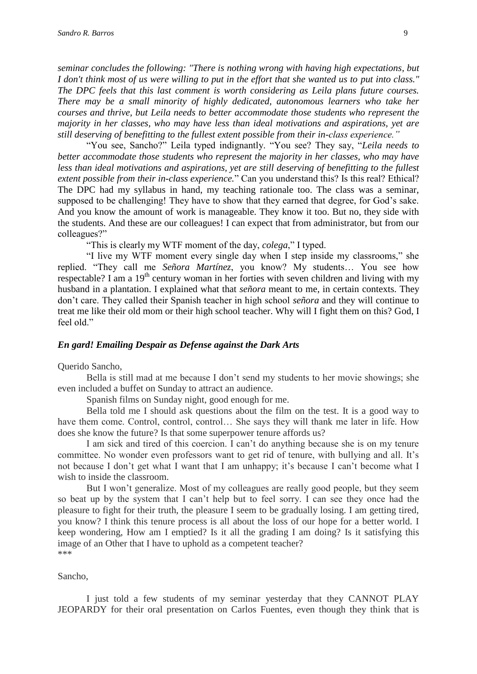*seminar concludes the following: "There is nothing wrong with having high expectations, but I don't think most of us were willing to put in the effort that she wanted us to put into class." The DPC feels that this last comment is worth considering as Leila plans future courses. There may be a small minority of highly dedicated, autonomous learners who take her courses and thrive, but Leila needs to better accommodate those students who represent the majority in her classes, who may have less than ideal motivations and aspirations, yet are still deserving of benefitting to the fullest extent possible from their in-class experience."*

"You see, Sancho?" Leila typed indignantly. "You see? They say, "*Leila needs to better accommodate those students who represent the majority in her classes, who may have less than ideal motivations and aspirations, yet are still deserving of benefitting to the fullest extent possible from their in-class experience.*" Can you understand this? Is this real? Ethical? The DPC had my syllabus in hand, my teaching rationale too. The class was a seminar, supposed to be challenging! They have to show that they earned that degree, for God's sake. And you know the amount of work is manageable. They know it too. But no, they side with the students. And these are our colleagues! I can expect that from administrator, but from our colleagues?"

"This is clearly my WTF moment of the day, *colega*," I typed.

"I live my WTF moment every single day when I step inside my classrooms," she replied. "They call me *Señora Martínez*, you know? My students… You see how respectable? I am a 19<sup>th</sup> century woman in her forties with seven children and living with my husband in a plantation. I explained what that *señora* meant to me, in certain contexts. They don't care. They called their Spanish teacher in high school *señora* and they will continue to treat me like their old mom or their high school teacher. Why will I fight them on this? God, I feel old."

#### *En gard! Emailing Despair as Defense against the Dark Arts*

Querido Sancho,

Bella is still mad at me because I don't send my students to her movie showings; she even included a buffet on Sunday to attract an audience.

Spanish films on Sunday night, good enough for me.

Bella told me I should ask questions about the film on the test. It is a good way to have them come. Control, control, control... She says they will thank me later in life. How does she know the future? Is that some superpower tenure affords us?

I am sick and tired of this coercion. I can't do anything because she is on my tenure committee. No wonder even professors want to get rid of tenure, with bullying and all. It's not because I don't get what I want that I am unhappy; it's because I can't become what I wish to inside the classroom.

But I won't generalize. Most of my colleagues are really good people, but they seem so beat up by the system that I can't help but to feel sorry. I can see they once had the pleasure to fight for their truth, the pleasure I seem to be gradually losing. I am getting tired, you know? I think this tenure process is all about the loss of our hope for a better world. I keep wondering, How am I emptied? Is it all the grading I am doing? Is it satisfying this image of an Other that I have to uphold as a competent teacher? \*\*\*

Sancho,

I just told a few students of my seminar yesterday that they CANNOT PLAY JEOPARDY for their oral presentation on Carlos Fuentes, even though they think that is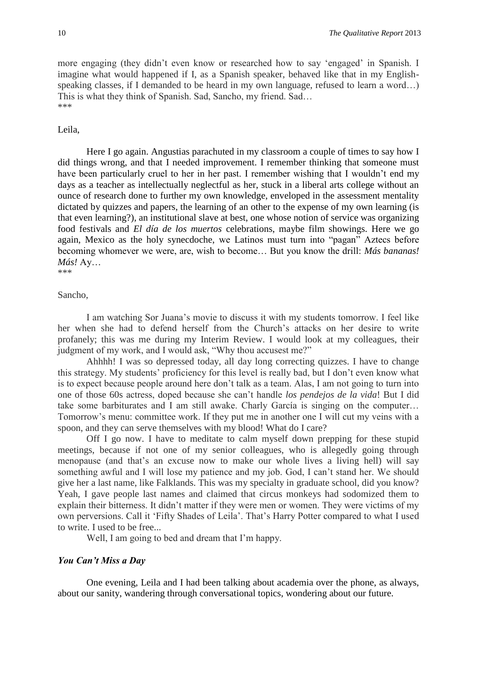more engaging (they didn't even know or researched how to say 'engaged' in Spanish. I imagine what would happened if I, as a Spanish speaker, behaved like that in my Englishspeaking classes, if I demanded to be heard in my own language, refused to learn a word…) This is what they think of Spanish. Sad, Sancho, my friend. Sad… \*\*\*

#### Leila,

Here I go again. Angustias parachuted in my classroom a couple of times to say how I did things wrong, and that I needed improvement. I remember thinking that someone must have been particularly cruel to her in her past. I remember wishing that I wouldn't end my days as a teacher as intellectually neglectful as her, stuck in a liberal arts college without an ounce of research done to further my own knowledge, enveloped in the assessment mentality dictated by quizzes and papers, the learning of an other to the expense of my own learning (is that even learning?), an institutional slave at best, one whose notion of service was organizing food festivals and *El día de los muertos* celebrations, maybe film showings. Here we go again, Mexico as the holy synecdoche, we Latinos must turn into "pagan" Aztecs before becoming whomever we were, are, wish to become… But you know the drill: *Más bananas! Más!* Ay… \*\*\*

#### Sancho,

I am watching Sor Juana's movie to discuss it with my students tomorrow. I feel like her when she had to defend herself from the Church's attacks on her desire to write profanely; this was me during my Interim Review. I would look at my colleagues, their judgment of my work, and I would ask, "Why thou accusest me?"

Ahhhh! I was so depressed today, all day long correcting quizzes. I have to change this strategy. My students' proficiency for this level is really bad, but I don't even know what is to expect because people around here don't talk as a team. Alas, I am not going to turn into one of those 60s actress, doped because she can't handle *los pendejos de la vida*! But I did take some barbiturates and I am still awake. Charly García is singing on the computer… Tomorrow's menu: committee work. If they put me in another one I will cut my veins with a spoon, and they can serve themselves with my blood! What do I care?

Off I go now. I have to meditate to calm myself down prepping for these stupid meetings, because if not one of my senior colleagues, who is allegedly going through menopause (and that's an excuse now to make our whole lives a living hell) will say something awful and I will lose my patience and my job. God, I can't stand her. We should give her a last name, like Falklands. This was my specialty in graduate school, did you know? Yeah, I gave people last names and claimed that circus monkeys had sodomized them to explain their bitterness. It didn't matter if they were men or women. They were victims of my own perversions. Call it 'Fifty Shades of Leila'. That's Harry Potter compared to what I used to write. I used to be free...

Well, I am going to bed and dream that I'm happy.

#### *You Can't Miss a Day*

One evening, Leila and I had been talking about academia over the phone, as always, about our sanity, wandering through conversational topics, wondering about our future.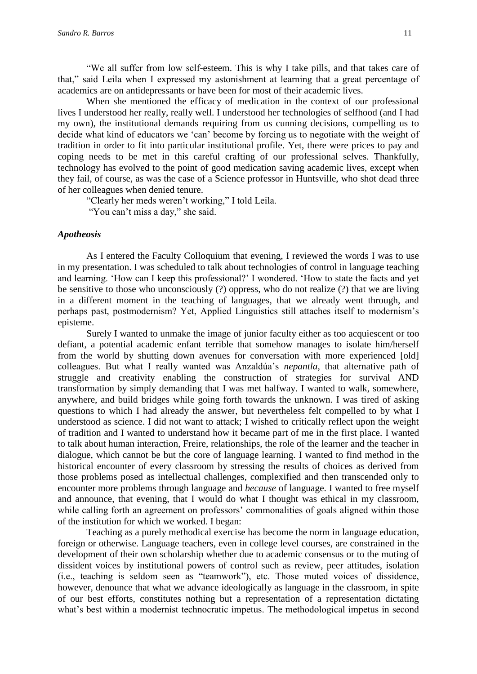"We all suffer from low self-esteem. This is why I take pills, and that takes care of that," said Leila when I expressed my astonishment at learning that a great percentage of academics are on antidepressants or have been for most of their academic lives.

When she mentioned the efficacy of medication in the context of our professional lives I understood her really, really well. I understood her technologies of selfhood (and I had my own), the institutional demands requiring from us cunning decisions, compelling us to decide what kind of educators we 'can' become by forcing us to negotiate with the weight of tradition in order to fit into particular institutional profile. Yet, there were prices to pay and coping needs to be met in this careful crafting of our professional selves. Thankfully, technology has evolved to the point of good medication saving academic lives, except when they fail, of course, as was the case of a Science professor in Huntsville, who shot dead three of her colleagues when denied tenure.

"Clearly her meds weren't working," I told Leila.

"You can't miss a day," she said.

#### *Apotheosis*

As I entered the Faculty Colloquium that evening, I reviewed the words I was to use in my presentation. I was scheduled to talk about technologies of control in language teaching and learning. 'How can I keep this professional?' I wondered. 'How to state the facts and yet be sensitive to those who unconsciously (?) oppress, who do not realize (?) that we are living in a different moment in the teaching of languages, that we already went through, and perhaps past, postmodernism? Yet, Applied Linguistics still attaches itself to modernism's episteme.

Surely I wanted to unmake the image of junior faculty either as too acquiescent or too defiant, a potential academic enfant terrible that somehow manages to isolate him/herself from the world by shutting down avenues for conversation with more experienced [old] colleagues. But what I really wanted was Anzaldúa's *nepantla*, that alternative path of struggle and creativity enabling the construction of strategies for survival AND transformation by simply demanding that I was met halfway. I wanted to walk, somewhere, anywhere, and build bridges while going forth towards the unknown. I was tired of asking questions to which I had already the answer, but nevertheless felt compelled to by what I understood as science. I did not want to attack; I wished to critically reflect upon the weight of tradition and I wanted to understand how it became part of me in the first place. I wanted to talk about human interaction, Freire, relationships, the role of the learner and the teacher in dialogue, which cannot be but the core of language learning. I wanted to find method in the historical encounter of every classroom by stressing the results of choices as derived from those problems posed as intellectual challenges, complexified and then transcended only to encounter more problems through language and *because* of language. I wanted to free myself and announce, that evening, that I would do what I thought was ethical in my classroom, while calling forth an agreement on professors' commonalities of goals aligned within those of the institution for which we worked. I began:

Teaching as a purely methodical exercise has become the norm in language education, foreign or otherwise. Language teachers, even in college level courses, are constrained in the development of their own scholarship whether due to academic consensus or to the muting of dissident voices by institutional powers of control such as review, peer attitudes, isolation (i.e., teaching is seldom seen as "teamwork"), etc. Those muted voices of dissidence, however, denounce that what we advance ideologically as language in the classroom, in spite of our best efforts, constitutes nothing but a representation of a representation dictating what's best within a modernist technocratic impetus. The methodological impetus in second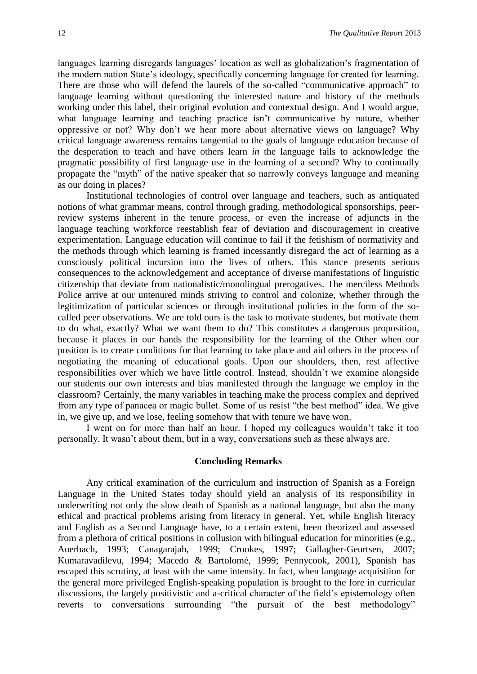languages learning disregards languages' location as well as globalization's fragmentation of the modern nation State's ideology, specifically concerning language for created for learning. There are those who will defend the laurels of the so-called "communicative approach" to language learning without questioning the interested nature and history of the methods working under this label, their original evolution and contextual design. And I would argue, what language learning and teaching practice isn't communicative by nature, whether oppressive or not? Why don't we hear more about alternative views on language? Why critical language awareness remains tangential to the goals of language education because of the desperation to teach and have others learn *in* the language fails to acknowledge the pragmatic possibility of first language use in the learning of a second? Why to continually propagate the "myth" of the native speaker that so narrowly conveys language and meaning as our doing in places?

Institutional technologies of control over language and teachers, such as antiquated notions of what grammar means, control through grading, methodological sponsorships, peerreview systems inherent in the tenure process, or even the increase of adjuncts in the language teaching workforce reestablish fear of deviation and discouragement in creative experimentation. Language education will continue to fail if the fetishism of normativity and the methods through which learning is framed incessantly disregard the act of learning as a consciously political incursion into the lives of others. This stance presents serious consequences to the acknowledgement and acceptance of diverse manifestations of linguistic citizenship that deviate from nationalistic/monolingual prerogatives. The merciless Methods Police arrive at our untenured minds striving to control and colonize, whether through the legitimization of particular sciences or through institutional policies in the form of the socalled peer observations. We are told ours is the task to motivate students, but motivate them to do what, exactly? What we want them to do? This constitutes a dangerous proposition, because it places in our hands the responsibility for the learning of the Other when our position is to create conditions for that learning to take place and aid others in the process of negotiating the meaning of educational goals. Upon our shoulders, then, rest affective responsibilities over which we have little control. Instead, shouldn't we examine alongside our students our own interests and bias manifested through the language we employ in the classroom? Certainly, the many variables in teaching make the process complex and deprived from any type of panacea or magic bullet. Some of us resist "the best method" idea. We give in, we give up, and we lose, feeling somehow that with tenure we have won.

I went on for more than half an hour. I hoped my colleagues wouldn't take it too personally. It wasn't about them, but in a way, conversations such as these always are.

#### **Concluding Remarks**

Any critical examination of the curriculum and instruction of Spanish as a Foreign Language in the United States today should yield an analysis of its responsibility in underwriting not only the slow death of Spanish as a national language, but also the many ethical and practical problems arising from literacy in general. Yet, while English literacy and English as a Second Language have, to a certain extent, been theorized and assessed from a plethora of critical positions in collusion with bilingual education for minorities (e.g., Auerbach, 1993; Canagarajah, 1999; Crookes, 1997; Gallagher-Geurtsen, 2007; Kumaravadilevu, 1994; Macedo & Bartolomé, 1999; Pennycook, 2001), Spanish has escaped this scrutiny, at least with the same intensity. In fact, when language acquisition for the general more privileged English-speaking population is brought to the fore in curricular discussions, the largely positivistic and a-critical character of the field's epistemology often reverts to conversations surrounding "the pursuit of the best methodology"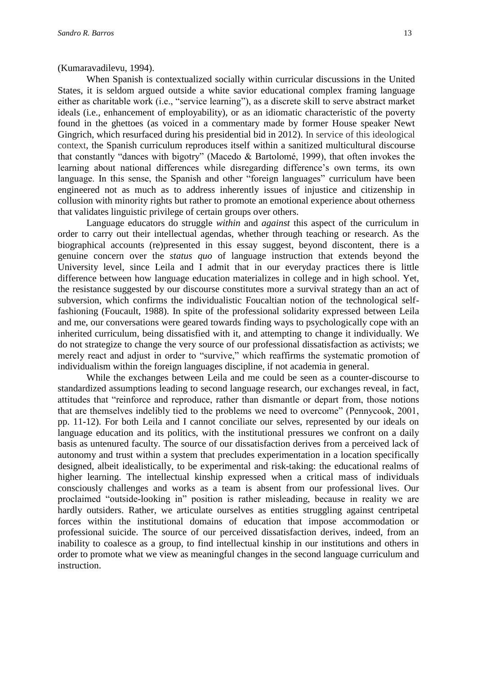(Kumaravadilevu, 1994).

When Spanish is contextualized socially within curricular discussions in the United States, it is seldom argued outside a white savior educational complex framing language either as charitable work (i.e., "service learning"), as a discrete skill to serve abstract market ideals (i.e., enhancement of employability), or as an idiomatic characteristic of the poverty found in the ghettoes (as voiced in a commentary made by former House speaker Newt Gingrich, which resurfaced during his presidential bid in 2012). In service of this ideological context, the Spanish curriculum reproduces itself within a sanitized multicultural discourse that constantly "dances with bigotry" (Macedo & Bartolomé, 1999), that often invokes the learning about national differences while disregarding difference's own terms, its own language. In this sense, the Spanish and other "foreign languages" curriculum have been engineered not as much as to address inherently issues of injustice and citizenship in collusion with minority rights but rather to promote an emotional experience about otherness that validates linguistic privilege of certain groups over others.

Language educators do struggle *within* and *against* this aspect of the curriculum in order to carry out their intellectual agendas, whether through teaching or research. As the biographical accounts (re)presented in this essay suggest, beyond discontent, there is a genuine concern over the *status quo* of language instruction that extends beyond the University level, since Leila and I admit that in our everyday practices there is little difference between how language education materializes in college and in high school. Yet, the resistance suggested by our discourse constitutes more a survival strategy than an act of subversion, which confirms the individualistic Foucaltian notion of the technological selffashioning (Foucault, 1988). In spite of the professional solidarity expressed between Leila and me, our conversations were geared towards finding ways to psychologically cope with an inherited curriculum, being dissatisfied with it, and attempting to change it individually. We do not strategize to change the very source of our professional dissatisfaction as activists; we merely react and adjust in order to "survive," which reaffirms the systematic promotion of individualism within the foreign languages discipline, if not academia in general.

While the exchanges between Leila and me could be seen as a counter-discourse to standardized assumptions leading to second language research, our exchanges reveal, in fact, attitudes that "reinforce and reproduce, rather than dismantle or depart from, those notions that are themselves indelibly tied to the problems we need to overcome" (Pennycook, 2001, pp. 11-12). For both Leila and I cannot conciliate our selves, represented by our ideals on language education and its politics, with the institutional pressures we confront on a daily basis as untenured faculty. The source of our dissatisfaction derives from a perceived lack of autonomy and trust within a system that precludes experimentation in a location specifically designed, albeit idealistically, to be experimental and risk-taking: the educational realms of higher learning. The intellectual kinship expressed when a critical mass of individuals consciously challenges and works as a team is absent from our professional lives. Our proclaimed "outside-looking in" position is rather misleading, because in reality we are hardly outsiders. Rather, we articulate ourselves as entities struggling against centripetal forces within the institutional domains of education that impose accommodation or professional suicide. The source of our perceived dissatisfaction derives, indeed, from an inability to coalesce as a group, to find intellectual kinship in our institutions and others in order to promote what we view as meaningful changes in the second language curriculum and instruction.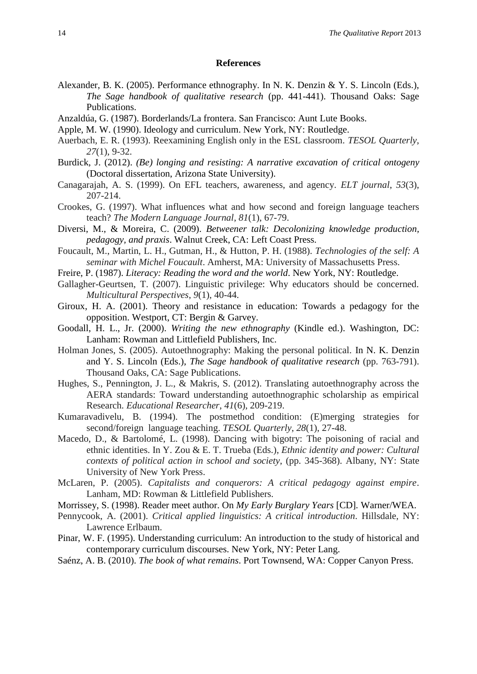#### **References**

- Alexander, B. K. (2005). Performance ethnography. In N. K. Denzin & Y. S. Lincoln (Eds.), *The Sage handbook of qualitative research* (pp. 441-441). Thousand Oaks: Sage Publications.
- Anzaldúa, G. (1987). Borderlands/La frontera. San Francisco: Aunt Lute Books.
- Apple, M. W. (1990). Ideology and curriculum. New York, NY: Routledge.
- Auerbach, E. R. (1993). Reexamining English only in the ESL classroom. *TESOL Quarterly*, *27*(1), 9-32.
- Burdick, J. (2012). *(Be) longing and resisting: A narrative excavation of critical ontogeny* (Doctoral dissertation, Arizona State University).
- Canagarajah, A. S. (1999). On EFL teachers, awareness, and agency. *ELT journal*, *53*(3), 207-214.
- Crookes, G. (1997). What influences what and how second and foreign language teachers teach? *The Modern Language Journal*, *81*(1), 67-79.
- Diversi, M., & Moreira, C. (2009). *Betweener talk: Decolonizing knowledge production, pedagogy, and praxis*. Walnut Creek, CA: Left Coast Press.
- Foucault, M., Martin, L. H., Gutman, H., & Hutton, P. H. (1988). *Technologies of the self: A seminar with Michel Foucault*. Amherst, MA: University of Massachusetts Press.
- Freire, P. (1987). *Literacy: Reading the word and the world*. New York, NY: Routledge.
- Gallagher-Geurtsen, T. (2007). Linguistic privilege: Why educators should be concerned. *Multicultural Perspectives*, *9*(1), 40-44.
- Giroux, H. A. (2001). Theory and resistance in education: Towards a pedagogy for the opposition. Westport, CT: Bergin & Garvey.
- Goodall, H. L., Jr. (2000). *Writing the new ethnography* (Kindle ed.). Washington, DC: Lanham: Rowman and Littlefield Publishers, Inc.
- Holman Jones, S. (2005). Autoethnography: Making the personal political. In N. K. Denzin and Y. S. Lincoln (Eds.), *The Sage handbook of qualitative research* (pp. 763-791). Thousand Oaks, CA: Sage Publications.
- Hughes, S., Pennington, J. L., & Makris, S. (2012). Translating autoethnography across the AERA standards: Toward understanding autoethnographic scholarship as empirical Research. *Educational Researcher*, *41*(6), 209-219.
- Kumaravadivelu, B. (1994). The postmethod condition: (E)merging strategies for second/foreign language teaching. *TESOL Quarterly*, *28*(1), 27-48.
- Macedo, D., & Bartolomé, L. (1998). Dancing with bigotry: The poisoning of racial and ethnic identities. In Y. Zou & E. T. Trueba (Eds.), *Ethnic identity and power: Cultural contexts of political action in school and society*, (pp. 345-368). Albany, NY: State University of New York Press.
- McLaren, P. (2005). *Capitalists and conquerors: A critical pedagogy against empire*. Lanham, MD: Rowman & Littlefield Publishers.
- Morrissey, S. (1998). Reader meet author. On *My Early Burglary Years* [CD]*.* Warner/WEA.
- Pennycook, A. (2001). *Critical applied linguistics: A critical introduction*. Hillsdale, NY: Lawrence Erlbaum.
- Pinar, W. F. (1995). Understanding curriculum: An introduction to the study of historical and contemporary curriculum discourses. New York, NY: Peter Lang.
- Saénz, A. B. (2010). *The book of what remains*. Port Townsend, WA: Copper Canyon Press.